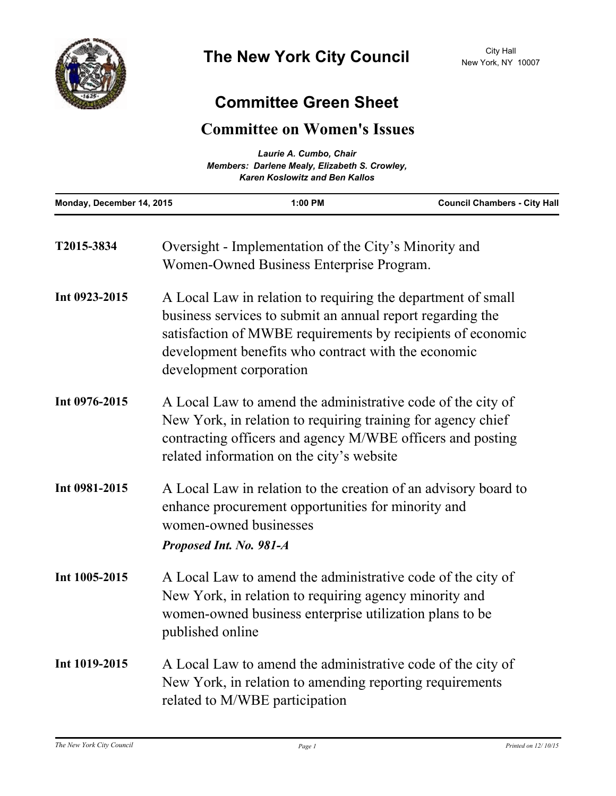

## **Committee Green Sheet**

## **Committee on Women's Issues**

| Laurie A. Cumbo, Chair<br>Members: Darlene Mealy, Elizabeth S. Crowley,<br><b>Karen Koslowitz and Ben Kallos</b> |                                                                                                                                                                                                                                                                             |                                                                                                   |                                     |
|------------------------------------------------------------------------------------------------------------------|-----------------------------------------------------------------------------------------------------------------------------------------------------------------------------------------------------------------------------------------------------------------------------|---------------------------------------------------------------------------------------------------|-------------------------------------|
| Monday, December 14, 2015                                                                                        |                                                                                                                                                                                                                                                                             | 1:00 PM                                                                                           | <b>Council Chambers - City Hall</b> |
| T2015-3834                                                                                                       |                                                                                                                                                                                                                                                                             | Oversight - Implementation of the City's Minority and<br>Women-Owned Business Enterprise Program. |                                     |
| Int 0923-2015                                                                                                    | A Local Law in relation to requiring the department of small<br>business services to submit an annual report regarding the<br>satisfaction of MWBE requirements by recipients of economic<br>development benefits who contract with the economic<br>development corporation |                                                                                                   |                                     |
| Int 0976-2015                                                                                                    | A Local Law to amend the administrative code of the city of<br>New York, in relation to requiring training for agency chief<br>contracting officers and agency M/WBE officers and posting<br>related information on the city's website                                      |                                                                                                   |                                     |
| Int 0981-2015                                                                                                    | A Local Law in relation to the creation of an advisory board to<br>enhance procurement opportunities for minority and<br>women-owned businesses<br>Proposed Int. No. 981-A                                                                                                  |                                                                                                   |                                     |
| Int 1005-2015                                                                                                    | A Local Law to amend the administrative code of the city of<br>New York, in relation to requiring agency minority and<br>women-owned business enterprise utilization plans to be<br>published online                                                                        |                                                                                                   |                                     |
| Int 1019-2015                                                                                                    | A Local Law to amend the administrative code of the city of<br>New York, in relation to amending reporting requirements<br>related to M/WBE participation                                                                                                                   |                                                                                                   |                                     |